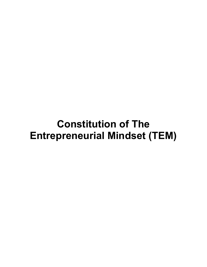# Constitution of The Entrepreneurial Mindset (TEM)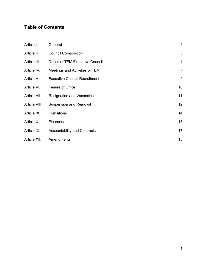# Table of Contents:

| Article I.    | General                              | 2               |
|---------------|--------------------------------------|-----------------|
| Article II.   | <b>Council Composition</b>           | 3               |
| Article III.  | Duties of TEM Executive Council      | $\overline{4}$  |
| Article IV.   | Meetings and Activities of TEM       | $\overline{7}$  |
| Article V.    | <b>Executive Council Recruitment</b> | 9               |
| Article VI.   | Tenure of Office                     | 10              |
| Article VII.  | <b>Resignation and Vacancies</b>     | 11              |
| Article VIII. | <b>Suspension and Removal</b>        | 12 <sub>2</sub> |
| Article IX.   | Transitions                          | 14              |
| Article X.    | Finances                             | 15              |
| Article XI.   | <b>Accountability and Contracts</b>  | 17              |
| Article XII.  | Amendments                           | 18              |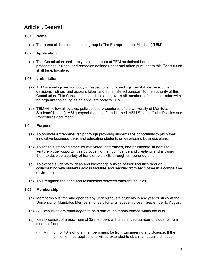# Article I. General

### 1.01 Name

(a) The name of the student action group is The Entrepreneurial Mindset ("TEM").

### 1.02 Application

(a) This Constitution shall apply to all members of TEM as defined herein, and all proceedings, rulings, and remedies defined under and taken pursuant to this Constitution shall be exhaustive.

### 1.03 Jurisdiction

- (a) TEM is a self-governing body in respect of all proceedings, resolutions, executive decisions, rulings, and appeals taken and administered pursuant to the authority of this Constitution. This Constitution shall bind and govern all members of the association with no organization sitting as an appellate body to TEM.
- (b) TEM will follow all bylaws, policies, and procedures of the University of Manitoba Students' Union (UMSU) especially those found in the UMSU Student Clubs Policies and Procedures document.

### 1.04 Purpose

- (a) To promote entrepreneurship through providing students the opportunity to pitch their innovative business ideas and educating students on developing business plans.
- (b) To act as a stepping stone for motivated, determined, and passionate students to venture bigger opportunities by boosting their confidence and creativity and allowing them to develop a variety of transferable skills through entrepreneurship.
- (c) To expose students to ideas and knowledge outside of their faculties through collaborating with students across faculties and learning from each other in a competitive environment.
- (d) To strengthen the bond and relationship between different faculties.

### 1.05 Membership

- (a) Membership is free and open to any undergraduate students in any year of study at the University of Manitoba. Membership lasts for a full academic year, September to August.
- (b) All Executives are encouraged to be a part of the teams formed within the club.
- (c) Ideally consist of a maximum of 32 members with a balanced number of students from different faculties.
	- (i) Minimum of 40% of total members must be from Engineering and Science. If the minimum is not met, applications will be extended to obtain an equal distribution.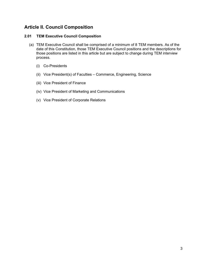# Article II. Council Composition

### 2.01 TEM Executive Council Composition

- (a) TEM Executive Council shall be comprised of a minimum of 8 TEM members. As of the date of this Constitution, those TEM Executive Council positions and the descriptions for those positions are listed in this article but are subject to change during TEM interview process.
	- (i) Co-Presidents
	- (ii) Vice President(s) of Faculties Commerce, Engineering, Science
	- (iii) Vice President of Finance
	- (iv) Vice President of Marketing and Communications
	- (v) Vice President of Corporate Relations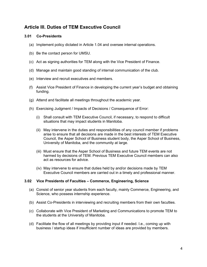# Article III. Duties of TEM Executive Council

### 3.01 Co-Presidents

- (a) Implement policy dictated in Article 1.04 and oversee internal operations.
- (b) Be the contact person for UMSU.
- (c) Act as signing authorities for TEM along with the Vice President of Finance.
- (d) Manage and maintain good standing of internal communication of the club.
- (e) Interview and recruit executives and members.
- (f) Assist Vice President of Finance in developing the current year's budget and obtaining funding.
- (g) Attend and facilitate all meetings throughout the academic year.
- (h) Exercising Judgment / Impacts of Decisions / Consequence of Error:
	- (i) Shall consult with TEM Executive Council, if necessary, to respond to difficult situations that may impact students in Manitoba.
	- (ii) May intervene in the duties and responsibilities of any council member if problems arise to ensure that all decisions are made in the best interests of TEM Executive Council, the Asper School of Business student body, the Asper School of Business, University of Manitoba, and the community at large.
	- (iii) Must ensure that the Asper School of Business and future TEM events are not harmed by decisions of TEM. Previous TEM Executive Council members can also act as resources for advice.
	- (iv) May intervene to ensure that duties held by and/or decisions made by TEM Executive Council members are carried out in a timely and professional manner.

### 3.02 Vice Presidents of Faculties – Commerce, Engineering, Science

- (a) Consist of senior year students from each faculty, mainly Commerce, Engineering, and Science, who possess internship experience.
- (b) Assist Co-Presidents in interviewing and recruiting members from their own faculties.
- (c) Collaborate with Vice President of Marketing and Communications to promote TEM to the students at the University of Manitoba.
- (d) Facilitate the flow of all meetings by providing input if needed. I.e., coming up with business / startup ideas if insufficient number of ideas are provided by members.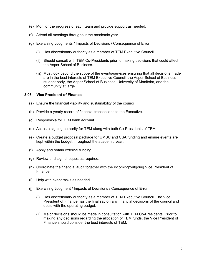- (e) Monitor the progress of each team and provide support as needed.
- (f) Attend all meetings throughout the academic year.
- (g) Exercising Judgments / Impacts of Decisions / Consequence of Error:
	- (i) Has discretionary authority as a member of TEM Executive Council
	- (ii) Should consult with TEM Co-Presidents prior to making decisions that could affect the Asper School of Business.
	- (iii) Must look beyond the scope of the events/services ensuring that all decisions made are in the best interests of TEM Executive Council, the Asper School of Business student body, the Asper School of Business, University of Manitoba, and the community at large.

### 3.03 Vice President of Finance

- (a) Ensure the financial viability and sustainability of the council.
- (b) Provide a yearly record of financial transactions to the Executive.
- (c) Responsible for TEM bank account.
- (d) Act as a signing authority for TEM along with both Co-Presidents of TEM.
- (e) Create a budget proposal package for UMSU and CSA funding and ensure events are kept within the budget throughout the academic year.
- (f) Apply and obtain external funding.
- (g) Review and sign cheques as required.
- (h) Coordinate the financial audit together with the incoming/outgoing Vice President of Finance.
- (i) Help with event tasks as needed.
- (j) Exercising Judgment / Impacts of Decisions / Consequence of Error:
	- (i) Has discretionary authority as a member of TEM Executive Council. The Vice President of Finance has the final say on any financial decisions of the council and deals with the operating budget.
	- (ii) Major decisions should be made in consultation with TEM Co-Presidents. Prior to making any decisions regarding the allocation of TEM funds, the Vice President of Finance should consider the best interests of TEM.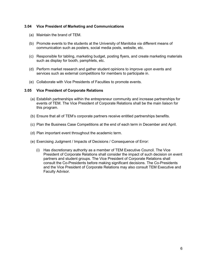### 3.04 Vice President of Marketing and Communications

- (a) Maintain the brand of TEM.
- (b) Promote events to the students at the University of Manitoba via different means of communication such as posters, social media posts, website, etc.
- (c) Responsible for tabling, marketing budget, posting flyers, and create marketing materials such as display for booth, pamphlets, etc.
- (d) Perform market research and gather student opinions to improve upon events and services such as external competitions for members to participate in.
- (e) Collaborate with Vice Presidents of Faculties to promote events.

#### 3.05 Vice President of Corporate Relations

- (a) Establish partnerships within the entrepreneur community and increase partnerships for events of TEM. The Vice President of Corporate Relations shall be the main liaison for this program.
- (b) Ensure that all of TEM's corporate partners receive entitled partnerships benefits.
- (c) Plan the Business Case Competitions at the end of each term in December and April.
- (d) Plan important event throughout the academic term.
- (e) Exercising Judgment / Impacts of Decisions / Consequence of Error:
	- (i) Has discretionary authority as a member of TEM Executive Council. The Vice President of Corporate Relations shall consider the impact of such decision on event partners and student groups. The Vice President of Corporate Relations shall consult the Co-Presidents before making significant decisions. The Co-Presidents and the Vice President of Corporate Relations may also consult TEM Executive and Faculty Advisor.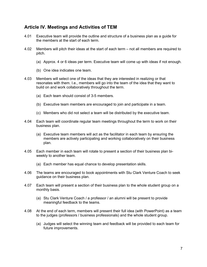## Article IV. Meetings and Activities of TEM

- 4.01 Executive team will provide the outline and structure of a business plan as a guide for the members at the start of each term.
- 4.02 Members will pitch their ideas at the start of each term not all members are required to pitch.
	- (a) Approx. 4 or 6 ideas per term. Executive team will come up with ideas if not enough.
	- (b) One idea indicates one team.
- 4.03 Members will select one of the ideas that they are interested in realizing or that resonates with them. I.e., members will go into the team of the idea that they want to build on and work collaboratively throughout the term.
	- (a) Each team should consist of 3-5 members.
	- (b) Executive team members are encouraged to join and participate in a team.
	- (c) Members who did not select a team will be distributed by the executive team.
- 4.04 Each team will coordinate regular team meetings throughout the term to work on their business plan.
	- (a) Executive team members will act as the facilitator in each team by ensuring the members are actively participating and working collaboratively on their business plan.
- 4.05 Each member in each team will rotate to present a section of their business plan biweekly to another team.
	- (a) Each member has equal chance to develop presentation skills.
- 4.06 The teams are encouraged to book appointments with Stu Clark Venture Coach to seek guidance on their business plan.
- 4.07 Each team will present a section of their business plan to the whole student group on a monthly basis.
	- (a) Stu Clark Venture Coach / a professor / an alumni will be present to provide meaningful feedback to the teams.
- 4.08 At the end of each term, members will present their full idea (with PowerPoint) as a team to the judges (professors / business professionals) and the whole student group.
	- (a) Judges will select the winning team and feedback will be provided to each team for future improvements.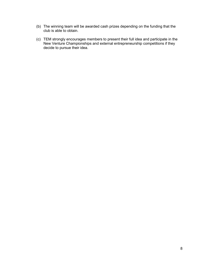- (b) The winning team will be awarded cash prizes depending on the funding that the club is able to obtain.
- (c) TEM strongly encourages members to present their full idea and participate in the New Venture Championships and external entrepreneurship competitions if they decide to pursue their idea.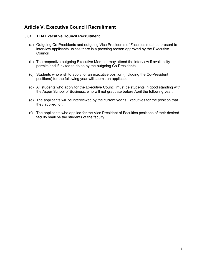# Article V. Executive Council Recruitment

### 5.01 TEM Executive Council Recruitment

- (a) Outgoing Co-Presidents and outgoing Vice Presidents of Faculties must be present to interview applicants unless there is a pressing reason approved by the Executive Council.
- (b) The respective outgoing Executive Member may attend the interview if availability permits and if invited to do so by the outgoing Co-Presidents.
- (c) Students who wish to apply for an executive position (including the Co-President positions) for the following year will submit an application.
- (d) All students who apply for the Executive Council must be students in good standing with the Asper School of Business, who will not graduate before April the following year.
- (e) The applicants will be interviewed by the current year's Executives for the position that they applied for.
- (f) The applicants who applied for the Vice President of Faculties positions of their desired faculty shall be the students of the faculty.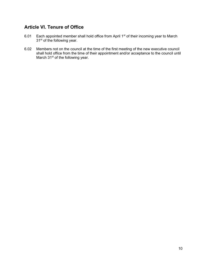# Article VI. Tenure of Office

- 6.01 Each appointed member shall hold office from April 1<sup>st</sup> of their incoming year to March 31<sup>st</sup> of the following year.
- 6.02 Members not on the council at the time of the first meeting of the new executive council shall hold office from the time of their appointment and/or acceptance to the council until March 31<sup>st</sup> of the following year.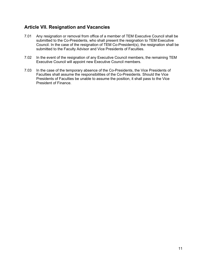# Article VII. Resignation and Vacancies

- 7.01 Any resignation or removal from office of a member of TEM Executive Council shall be submitted to the Co-Presidents, who shall present the resignation to TEM Executive Council. In the case of the resignation of TEM Co-President(s), the resignation shall be submitted to the Faculty Advisor and Vice Presidents of Faculties.
- 7.02 In the event of the resignation of any Executive Council members, the remaining TEM Executive Council will appoint new Executive Council members.
- 7.03 In the case of the temporary absence of the Co-Presidents, the Vice Presidents of Faculties shall assume the responsibilities of the Co-Presidents. Should the Vice Presidents of Faculties be unable to assume the position, it shall pass to the Vice President of Finance.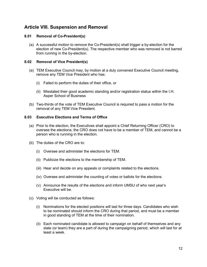# Article VIII. Suspension and Removal

### 8.01 Removal of Co-President(s)

(a) A successful motion to remove the Co-President(s) shall trigger a by-election for the election of new Co-President(s). The respective member who was removed is not barred from running in the by-election.

### 8.02 Removal of Vice President(s)

- (a) TEM Executive Council may, by motion at a duly convened Executive Council meeting, remove any TEM Vice President who has:
	- (i) Failed to perform the duties of their office, or
	- (ii) Misstated their good academic standing and/or registration status within the I.H. Asper School of Business
- (b) Two-thirds of the vote of TEM Executive Council is required to pass a motion for the removal of any TEM Vice President.

### 8.03 Executive Elections and Terms of Office

- (a) Prior to the election, the Executives shall appoint a Chief Returning Officer (CRO) to oversee the elections; the CRO does not have to be a member of TEM, and cannot be a person who is running in the election.
- (b) The duties of the CRO are to:
	- (i) Oversee and administer the elections for TEM.
	- (ii) Publicize the elections to the membership of TEM.
	- (iii) Hear and decide on any appeals or complaints related to the elections.
	- (iv) Oversee and administer the counting of votes or ballots for the elections.
	- (v) Announce the results of the elections and inform UMSU of who next year's Executive will be.
- (c) Voting will be conducted as follows:
	- (i) Nominations for the elected positions will last for three days. Candidates who wish to be nominated should inform the CRO during that period, and must be a member in good standing of TEM at the time of their nomination.
	- (ii) Each nominated candidate is allowed to campaign on behalf of themselves and any slate (or team) they are a part of during the campaigning period, which will last for at least a week.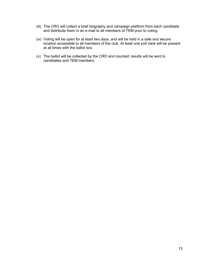- (iii) The CRO will collect a brief biography and campaign platform from each candidate and distribute them in an e-mail to all members of TEM prior to voting.
- (iv) Voting will be open for at least two days, and will be held in a safe and secure location accessible to all members of the club. At least one poll clerk will be present at all times with the ballot box.
- (v) The ballot will be collected by the CRO and counted; results will be sent to candidates and TEM members.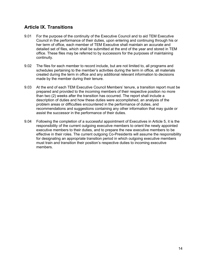# Article IX. Transitions

- 9.01 For the purpose of the continuity of the Executive Council and to aid TEM Executive Council in the performance of their duties, upon entering and continuing through his or her term of office, each member of TEM Executive shall maintain an accurate and detailed set of files, which shall be submitted at the end of the year and stored in TEM office. These files may be referred to by successors for the purposes of maintaining continuity.
- 9.02 The files for each member to record include, but are not limited to, all programs and schedules pertaining to the member's activities during the term in office, all materials created during the term in office and any additional relevant information to decisions made by the member during their tenure.
- 9.03 At the end of each TEM Executive Council Members' tenure, a transition report must be prepared and provided to the incoming members of their respective position no more than two (2) weeks after the transition has occurred. The report shall include a description of duties and how these duties were accomplished, an analysis of the problem areas or difficulties encountered in the performance of duties, and recommendations and suggestions containing any other information that may guide or assist the successor in the performance of their duties.
- 9.04 Following the completion of a successful appointment of Executives in Article 5, it is the responsibility of the current outgoing executive members to orient the newly appointed executive members to their duties, and to prepare the new executive members to be effective in their roles. The current outgoing Co-Presidents will assume the responsibility for designating an appropriate transition period in which outgoing executive members must train and transition their position's respective duties to incoming executive members.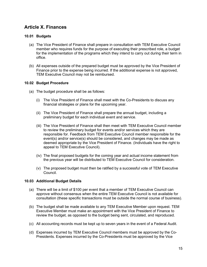# Article X. Finances

### 10.01 Budgets

- (a) The Vice President of Finance shall prepare in consultation with TEM Executive Council member who requires funds for the purpose of executing their prescribed role, a budget for the implementation of the programs which they intend to carry out during their term in office.
- (b) All expenses outside of the prepared budget must be approved by the Vice President of Finance prior to the expense being incurred. If the additional expense is not approved, TEM Executive Council may not be reimbursed.

### 10.02 Budget Procedure

- (a) The budget procedure shall be as follows:
	- (i) The Vice President of Finance shall meet with the Co-Presidents to discuss any financial strategies or plans for the upcoming year.
	- (ii) The Vice President of Finance shall prepare the annual budget, including a preliminary budget for each individual event and service.
	- (iii) The Vice President of Finance shall then meet with TEM Executive Council member to review the preliminary budget for events and/or services which they are responsible for. Feedback from TEM Executive Council member responsible for the event(s) and/or service(s) should be considered, and changes may be made as deemed appropriate by the Vice President of Finance. (Individuals have the right to appeal to TEM Executive Council).
	- (iv) The final proposed budgets for the coming year and actual income statement from the previous year will be distributed to TEM Executive Council for consideration.
	- (v) The proposed budget must then be ratified by a successful vote of TEM Executive Council.

### 10.03 Additional Budget Details

- (a) There will be a limit of \$100 per event that a member of TEM Executive Council can approve without consensus when the entire TEM Executive Council is not available for consultation (these specific transactions must be outside the normal course of business).
- (b) The budget shall be made available to any TEM Executive Member upon request. TEM Executive Member must make an appointment with the Vice President of Finance to review the budget, as opposed to the budget being sent, circulated, and reproduced.
- (c) All accounting records must be kept up to seven years in the event of a Federal Audit.
- (d) Expenses incurred by TEM Executive Council members must be approved by the Co-Presidents. Expenses incurred by the Co-Presidents must be approved by the Vice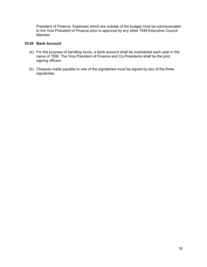President of Finance. Expenses which are outside of the budget must be communicated to the Vice President of Finance prior to approval by any other TEM Executive Council Member.

### 10.04 Bank Account

- (a) For the purpose of handling funds, a bank account shall be maintained each year in the name of TEM. The Vice President of Finance and Co-Presidents shall be the joint signing officers.
- (b) Cheques made payable to one of the signatories must be signed by two of the three signatories.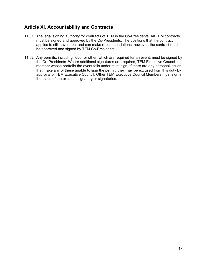# Article XI. Accountability and Contracts

- 11.01 The legal signing authority for contracts of TEM is the Co-Presidents. All TEM contracts must be signed and approved by the Co-Presidents. The positions that the contract applies to still have input and can make recommendations; however, the contract must be approved and signed by TEM Co-Presidents.
- 11.02 Any permits, including liquor or other, which are required for an event, must be signed by the Co-Presidents. Where additional signatures are required, TEM Executive Council member whose portfolio the event falls under must sign. If there are any personal issues that make any of these unable to sign the permit, they may be excused from this duty by approval of TEM Executive Council. Other TEM Executive Council Members must sign in the place of the excused signatory or signatories.